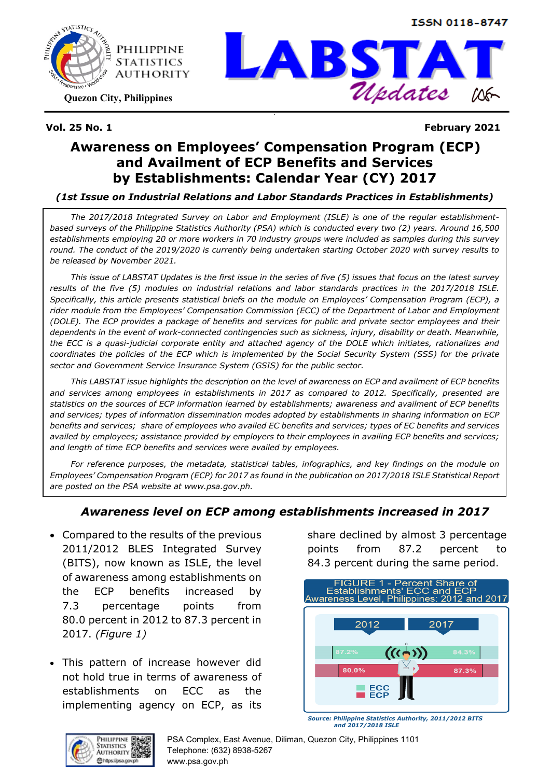



**Quezon City, Philippines**



**Vol. 25 No. 1 February 2021**

## **Awareness on Employees' Compensation Program (ECP) and Availment of ECP Benefits and Services by Establishments: Calendar Year (CY) 2017**

**`** 

#### *(1st Issue on Industrial Relations and Labor Standards Practices in Establishments)*

*The 2017/2018 Integrated Survey on Labor and Employment (ISLE) is one of the regular establishmentbased surveys of the Philippine Statistics Authority (PSA) which is conducted every two (2) years. Around 16,500 establishments employing 20 or more workers in 70 industry groups were included as samples during this survey round. The conduct of the 2019/2020 is currently being undertaken starting October 2020 with survey results to be released by November 2021.* 

*This issue of LABSTAT Updates is the first issue in the series of five (5) issues that focus on the latest survey results of the five (5) modules on industrial relations and labor standards practices in the 2017/2018 ISLE. Specifically, this article presents statistical briefs on the module on Employees' Compensation Program (ECP), a rider module from the Employees' Compensation Commission (ECC) of the Department of Labor and Employment (DOLE). The ECP provides a package of benefits and services for public and private sector employees and their dependents in the event of work-connected contingencies such as sickness, injury, disability or death. Meanwhile, the ECC is a quasi-judicial corporate entity and attached agency of the DOLE which initiates, rationalizes and coordinates the policies of the ECP which is implemented by the Social Security System (SSS) for the private sector and Government Service Insurance System (GSIS) for the public sector.*

*This LABSTAT issue highlights the description on the level of awareness on ECP and availment of ECP benefits and services among employees in establishments in 2017 as compared to 2012. Specifically, presented are statistics on the sources of ECP information learned by establishments; awareness and availment of ECP benefits and services; types of information dissemination modes adopted by establishments in sharing information on ECP benefits and services; share of employees who availed EC benefits and services; types of EC benefits and services availed by employees; assistance provided by employers to their employees in availing ECP benefits and services; and length of time ECP benefits and services were availed by employees.* 

*For reference purposes, the metadata, statistical tables, infographics, and key findings on the module on Employees' Compensation Program (ECP) for 2017 as found in the publication on 2017/2018 ISLE Statistical Report are posted on the PSA website at www.psa.gov.ph.*

#### *Awareness level on ECP among establishments increased in 2017*

- Compared to the results of the previous 2011/2012 BLES Integrated Survey (BITS), now known as ISLE, the level of awareness among establishments on the ECP benefits increased by 7.3 percentage points from 80.0 percent in 2012 to 87.3 percent in 2017. *(Figure 1)*
- This pattern of increase however did not hold true in terms of awareness of establishments on ECC as the implementing agency on ECP, as its

share declined by almost 3 percentage points from 87.2 percent to 84.3 percent during the same period.



*Source: Philippine Statistics Authority, 2011/2012 BITS and 2017/2018 ISLE*



PSA Complex, East Avenue, Diliman, Quezon City, Philippines 1101 Telephone: (632) 8938-5267 www.psa.gov.ph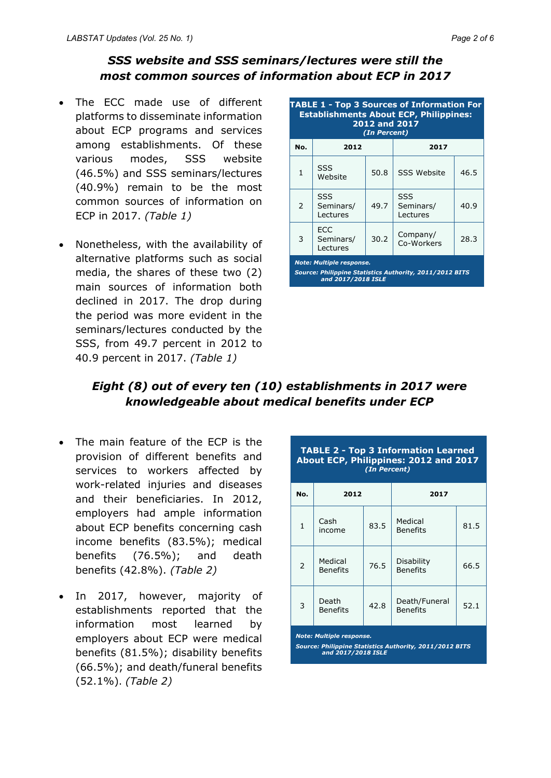### *SSS website and SSS seminars/lectures were still the most common sources of information about ECP in 2017*

- The ECC made use of different platforms to disseminate information about ECP programs and services among establishments. Of these various modes, SSS website (46.5%) and SSS seminars/lectures (40.9%) remain to be the most common sources of information on ECP in 2017. *(Table 1)*
- Nonetheless, with the availability of alternative platforms such as social media, the shares of these two (2) main sources of information both declined in 2017. The drop during the period was more evident in the seminars/lectures conducted by the SSS, from 49.7 percent in 2012 to 40.9 percent in 2017. *(Table 1)*

| <b>TABLE 1 - Top 3 Sources of Information For</b><br><b>Establishments About ECP, Philippines:</b><br>2012 and 2017<br>(In Percent) |                              |      |                              |      |  |
|-------------------------------------------------------------------------------------------------------------------------------------|------------------------------|------|------------------------------|------|--|
| No.                                                                                                                                 | 2012                         |      | 2017                         |      |  |
| $\mathbf{1}$                                                                                                                        | SSS<br>Website               | 50.8 | <b>SSS Website</b>           | 46.5 |  |
| $\mathcal{P}$                                                                                                                       | SSS<br>Seminars/<br>Lectures | 49.7 | SSS<br>Seminars/<br>Lectures | 40.9 |  |
| 3                                                                                                                                   | ECC<br>Seminars/<br>Lectures | 30.2 | Company/<br>Co-Workers       | 28.3 |  |
| <b>Note: Multiple response.</b><br>Source: Philippine Statistics Authority, 2011/2012 BITS<br>and 2017/2018 ISLE                    |                              |      |                              |      |  |

### *Eight (8) out of every ten (10) establishments in 2017 were knowledgeable about medical benefits under ECP*

- The main feature of the ECP is the provision of different benefits and services to workers affected by work-related injuries and diseases and their beneficiaries. In 2012, employers had ample information about ECP benefits concerning cash income benefits (83.5%); medical benefits (76.5%); and death benefits (42.8%). *(Table 2)*
- In 2017, however, majority of establishments reported that the information most learned by employers about ECP were medical benefits (81.5%); disability benefits (66.5%); and death/funeral benefits (52.1%). *(Table 2)*

| No.          | 2012                       |      | 2017                             |      |
|--------------|----------------------------|------|----------------------------------|------|
| $\mathbf{1}$ | Cash<br>income             | 83.5 | Medical<br><b>Benefits</b>       | 81.5 |
| 2            | Medical<br><b>Benefits</b> | 76.5 | Disability<br><b>Benefits</b>    | 66.5 |
| 3            | Death<br><b>Benefits</b>   | 42.8 | Death/Funeral<br><b>Benefits</b> | 52.1 |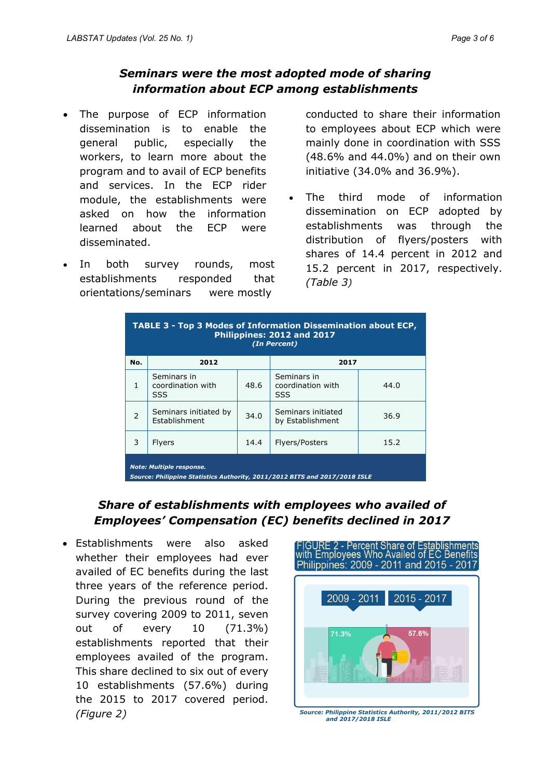#### *Seminars were the most adopted mode of sharing information about ECP among establishments*

- The purpose of ECP information dissemination is to enable the general public, especially the workers, to learn more about the program and to avail of ECP benefits and services. In the ECP rider module, the establishments were asked on how the information learned about the ECP were disseminated.
- In both survey rounds, most establishments responded that orientations/seminars were mostly

conducted to share their information to employees about ECP which were mainly done in coordination with SSS (48.6% and 44.0%) and on their own initiative (34.0% and 36.9%).

The third mode of information dissemination on ECP adopted by establishments was through the distribution of flyers/posters with shares of 14.4 percent in 2012 and 15.2 percent in 2017, respectively. *(Table 3)*

| TABLE 3 - Top 3 Modes of Information Dissemination about ECP,<br>Philippines: 2012 and 2017<br>(In Percent)   |                                         |      |                                         |      |  |  |
|---------------------------------------------------------------------------------------------------------------|-----------------------------------------|------|-----------------------------------------|------|--|--|
| No.                                                                                                           | 2012                                    |      | 2017                                    |      |  |  |
| $\mathbf{1}$                                                                                                  | Seminars in<br>coordination with<br>SSS | 48.6 | Seminars in<br>coordination with<br>SSS | 44.0 |  |  |
| $\overline{2}$                                                                                                | Seminars initiated by<br>Establishment  | 34.0 | Seminars initiated<br>by Establishment  | 36.9 |  |  |
| 3                                                                                                             | Flyers                                  | 14.4 | Flyers/Posters                          | 15.2 |  |  |
| <b>Note: Multiple response.</b><br>Source: Philippine Statistics Authority, 2011/2012 BITS and 2017/2018 ISLE |                                         |      |                                         |      |  |  |

## *Share of establishments with employees who availed of Employees' Compensation (EC) benefits declined in 2017*

• Establishments were also asked whether their employees had ever availed of EC benefits during the last three years of the reference period. During the previous round of the survey covering 2009 to 2011, seven out of every 10 (71.3%) establishments reported that their employees availed of the program. This share declined to six out of every 10 establishments (57.6%) during the 2015 to 2017 covered period. *(Figure 2)*



*and 2017/2018 ISLE*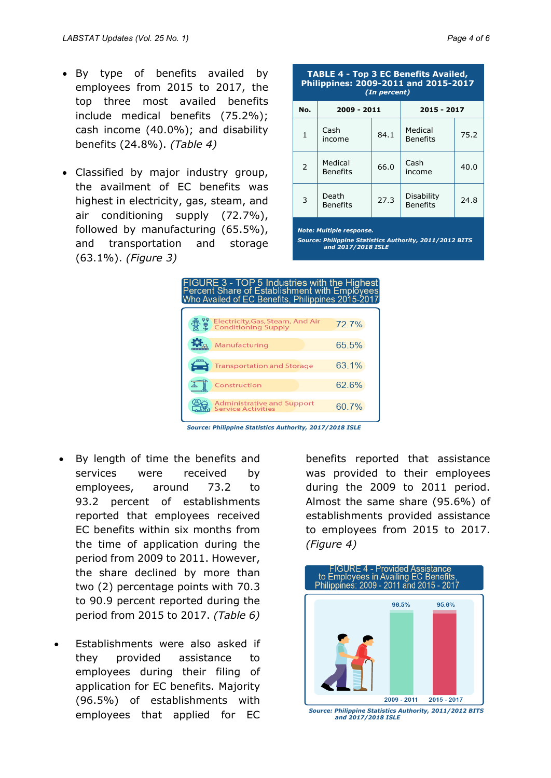- By type of benefits availed by employees from 2015 to 2017, the top three most availed benefits include medical benefits (75.2%); cash income (40.0%); and disability benefits (24.8%). *(Table 4)*
- Classified by major industry group, the availment of EC benefits was highest in electricity, gas, steam, and air conditioning supply (72.7%), followed by manufacturing (65.5%), and transportation and storage (63.1%). *(Figure 3)*

| <b>TABLE 4 - Top 3 EC Benefits Availed,</b><br>Philippines: 2009-2011 and 2015-2017<br>(In percent) |                            |      |                               |      |  |  |
|-----------------------------------------------------------------------------------------------------|----------------------------|------|-------------------------------|------|--|--|
| No.                                                                                                 | 2009 - 2011                |      | 2015 - 2017                   |      |  |  |
| $\mathbf{1}$                                                                                        | Cash<br>income             | 84.1 | Medical<br><b>Benefits</b>    | 75.2 |  |  |
| 2                                                                                                   | Medical<br><b>Benefits</b> | 66.0 | Cash<br>income                | 40.0 |  |  |
| 3                                                                                                   | Death<br><b>Benefits</b>   | 27.3 | Disability<br><b>Benefits</b> | 24.8 |  |  |

*Note: Multiple response.*

*Source: Philippine Statistics Authority, 2011/2012 BITS and 2017/2018 ISLE*



*Source: Philippine Statistics Authority, 2017/2018 ISLE*

- By length of time the benefits and services were received by employees, around 73.2 to 93.2 percent of establishments reported that employees received EC benefits within six months from the time of application during the period from 2009 to 2011. However, the share declined by more than two (2) percentage points with 70.3 to 90.9 percent reported during the period from 2015 to 2017. *(Table 6)*
- Establishments were also asked if they provided assistance to employees during their filing of application for EC benefits. Majority (96.5%) of establishments with employees that applied for EC

benefits reported that assistance was provided to their employees during the 2009 to 2011 period. Almost the same share (95.6%) of establishments provided assistance to employees from 2015 to 2017. *(Figure 4)*



*Source: Philippine Statistics Authority, 2011/2012 BITS and 2017/2018 ISLE*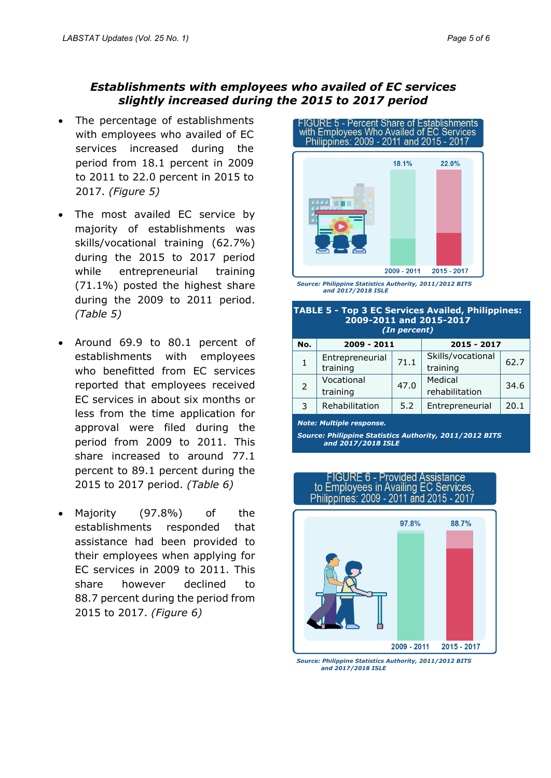#### *Establishments with employees who availed of EC services slightly increased during the 2015 to 2017 period*

- The percentage of establishments with employees who availed of EC services increased during the period from 18.1 percent in 2009 to 2011 to 22.0 percent in 2015 to 2017. *(Figure 5)*
- The most availed EC service by majority of establishments was skills/vocational training (62.7%) during the 2015 to 2017 period while entrepreneurial training (71.1%) posted the highest share during the 2009 to 2011 period. *(Table 5)*
- Around 69.9 to 80.1 percent of establishments with employees who benefitted from EC services reported that employees received EC services in about six months or less from the time application for approval were filed during the period from 2009 to 2011. This share increased to around 77.1 percent to 89.1 percent during the 2015 to 2017 period. *(Table 6)*
- Majority (97.8%) of the establishments responded that assistance had been provided to their employees when applying for EC services in 2009 to 2011. This share however declined to 88.7 percent during the period from 2015 to 2017. *(Figure 6)*



*Source: Philippine Statistics Authority, 2011/2012 BITS and 2017/2018 ISLE*

| <b>TABLE 5 - Top 3 EC Services Availed, Philippines:</b><br>2009-2011 and 2015-2017<br>(In percent) |                             |      |                               |      |  |  |
|-----------------------------------------------------------------------------------------------------|-----------------------------|------|-------------------------------|------|--|--|
| No.                                                                                                 | 2009 - 2011                 |      | 2015 - 2017                   |      |  |  |
| $\mathbf{1}$                                                                                        | Entrepreneurial<br>training | 71.1 | Skills/vocational<br>training | 62.7 |  |  |
| 2                                                                                                   | Vocational<br>training      | 47.0 | Medical<br>rehabilitation     | 34.6 |  |  |
| 3                                                                                                   | Rehabilitation              | 5.2  | Entrepreneurial               | 20.1 |  |  |
|                                                                                                     |                             |      |                               |      |  |  |

*Note: Multiple response.* 

*Source: Philippine Statistics Authority, 2011/2012 BITS and 2017/2018 ISLE*

# FIGURE 6 - Provided Assistance<br>to Employees in Availing EC Services Philippines: 2009 - 2011 and 2015 - 2017



*Source: Philippine Statistics Authority, 2011/2012 BITS and 2017/2018 ISLE*